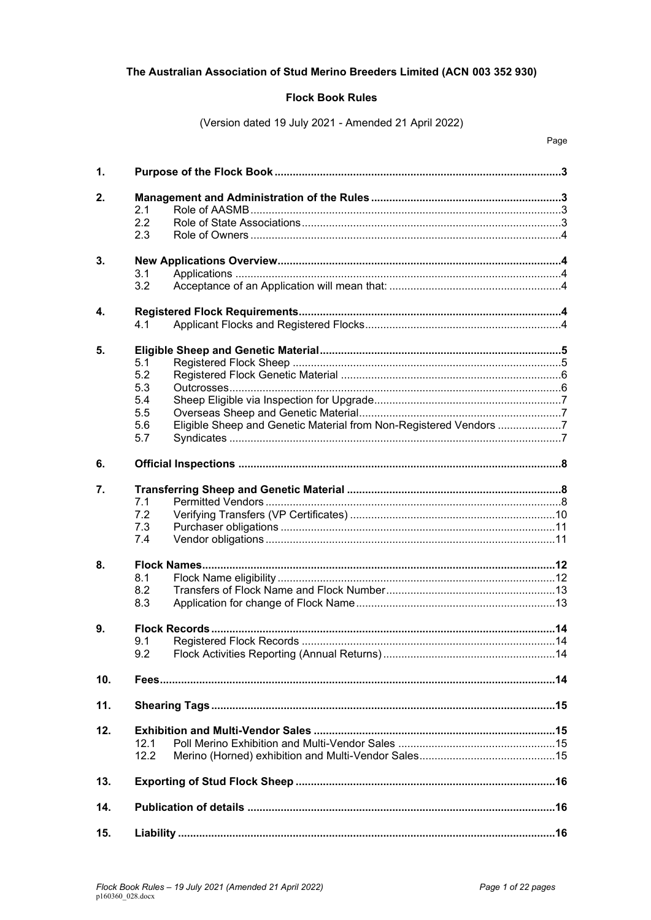# The Australian Association of Stud Merino Breeders Limited (ACN 003 352 930)

# **Flock Book Rules**

(Version dated 19 July 2021 - Amended 21 April 2022)

| 1.           |                                                                          |  |  |  |
|--------------|--------------------------------------------------------------------------|--|--|--|
| 2.           |                                                                          |  |  |  |
|              | 2.1                                                                      |  |  |  |
|              | 2.2                                                                      |  |  |  |
|              | 2.3                                                                      |  |  |  |
| 3.           |                                                                          |  |  |  |
|              | 3.1                                                                      |  |  |  |
|              | 3.2                                                                      |  |  |  |
|              |                                                                          |  |  |  |
| $\mathbf{4}$ |                                                                          |  |  |  |
|              | 4.1                                                                      |  |  |  |
| 5.           |                                                                          |  |  |  |
|              | 5.1                                                                      |  |  |  |
|              | 5.2                                                                      |  |  |  |
|              | 5.3                                                                      |  |  |  |
|              | 5.4                                                                      |  |  |  |
|              | 5.5                                                                      |  |  |  |
|              | Eligible Sheep and Genetic Material from Non-Registered Vendors 7<br>5.6 |  |  |  |
|              | 5.7                                                                      |  |  |  |
| 6.           |                                                                          |  |  |  |
|              |                                                                          |  |  |  |
| 7.           | 7.1                                                                      |  |  |  |
|              | 7.2                                                                      |  |  |  |
|              | 7.3                                                                      |  |  |  |
|              | 7.4                                                                      |  |  |  |
|              |                                                                          |  |  |  |
| 8.           |                                                                          |  |  |  |
|              | 8.1                                                                      |  |  |  |
|              | 8.2                                                                      |  |  |  |
|              | 8.3                                                                      |  |  |  |
| 9.           |                                                                          |  |  |  |
|              | 9.1                                                                      |  |  |  |
|              | 9.2                                                                      |  |  |  |
| 10.          |                                                                          |  |  |  |
|              |                                                                          |  |  |  |
| 11.          |                                                                          |  |  |  |
| 12.          | 121<br>12.2                                                              |  |  |  |
| 13.          |                                                                          |  |  |  |
| 14.          |                                                                          |  |  |  |
| 15.          |                                                                          |  |  |  |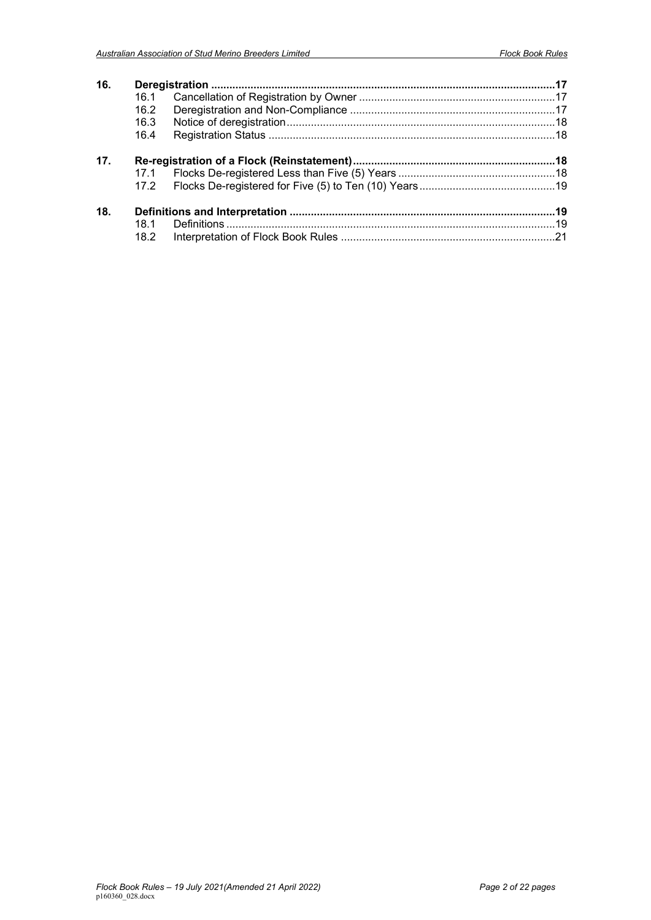| 16. |      |  |  |
|-----|------|--|--|
|     | 16.1 |  |  |
|     | 16.2 |  |  |
|     | 16.3 |  |  |
|     | 16.4 |  |  |
| 17. |      |  |  |
|     | 17.1 |  |  |
|     | 17.2 |  |  |
| 18. |      |  |  |
|     | 18.1 |  |  |
|     | 18.2 |  |  |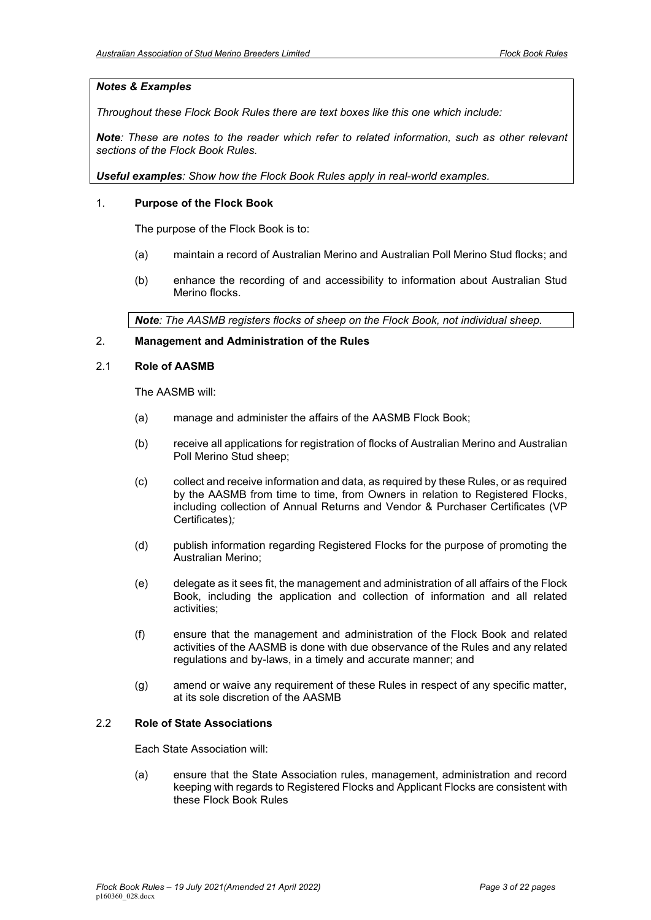# *Notes & Examples*

*Throughout these Flock Book Rules there are text boxes like this one which include:*

*Note: These are notes to the reader which refer to related information, such as other relevant sections of the Flock Book Rules.*

*Useful examples: Show how the Flock Book Rules apply in real-world examples.*

## <span id="page-2-0"></span>1. **Purpose of the Flock Book**

The purpose of the Flock Book is to:

- (a) maintain a record of Australian Merino and Australian Poll Merino Stud flocks; and
- (b) enhance the recording of and accessibility to information about Australian Stud Merino flocks.

*Note: The AASMB registers flocks of sheep on the Flock Book, not individual sheep.*

# <span id="page-2-1"></span>2. **Management and Administration of the Rules**

### <span id="page-2-2"></span>2.1 **Role of AASMB**

The AASMB will:

- (a) manage and administer the affairs of the AASMB Flock Book;
- (b) receive all applications for registration of flocks of Australian Merino and Australian Poll Merino Stud sheep;
- (c) collect and receive information and data, as required by these Rules, or as required by the AASMB from time to time, from Owners in relation to Registered Flocks, including collection of Annual Returns and Vendor & Purchaser Certificates (VP Certificates)*;*
- (d) publish information regarding Registered Flocks for the purpose of promoting the Australian Merino;
- (e) delegate as it sees fit, the management and administration of all affairs of the Flock Book, including the application and collection of information and all related activities;
- (f) ensure that the management and administration of the Flock Book and related activities of the AASMB is done with due observance of the Rules and any related regulations and by-laws, in a timely and accurate manner; and
- (g) amend or waive any requirement of these Rules in respect of any specific matter, at its sole discretion of the AASMB

### <span id="page-2-3"></span>2.2 **Role of State Associations**

Each State Association will:

(a) ensure that the State Association rules, management, administration and record keeping with regards to Registered Flocks and Applicant Flocks are consistent with these Flock Book Rules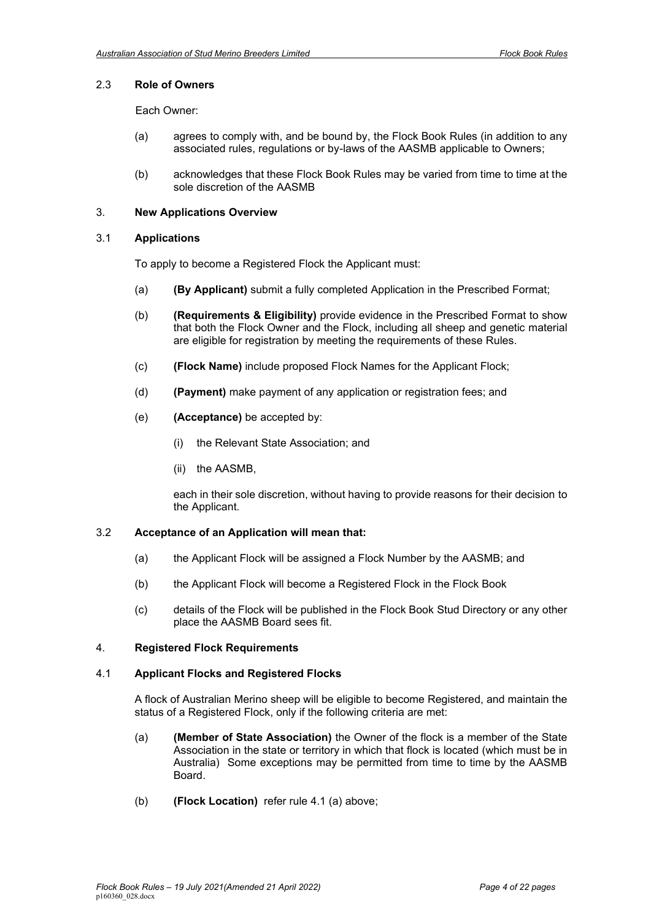# <span id="page-3-0"></span>2.3 **Role of Owners**

Each Owner:

- (a) agrees to comply with, and be bound by, the Flock Book Rules (in addition to any associated rules, regulations or by-laws of the AASMB applicable to Owners;
- (b) acknowledges that these Flock Book Rules may be varied from time to time at the sole discretion of the AASMB

## <span id="page-3-1"></span>3. **New Applications Overview**

### <span id="page-3-2"></span>3.1 **Applications**

To apply to become a Registered Flock the Applicant must:

- (a) **(By Applicant)** submit a fully completed Application in the Prescribed Format;
- (b) **(Requirements & Eligibility)** provide evidence in the Prescribed Format to show that both the Flock Owner and the Flock, including all sheep and genetic material are eligible for registration by meeting the requirements of these Rules.
- (c) **(Flock Name)** include proposed Flock Names for the Applicant Flock;
- (d) **(Payment)** make payment of any application or registration fees; and
- (e) **(Acceptance)** be accepted by:
	- (i) the Relevant State Association; and
	- (ii) the AASMB,

each in their sole discretion, without having to provide reasons for their decision to the Applicant.

### <span id="page-3-3"></span>3.2 **Acceptance of an Application will mean that:**

- (a) the Applicant Flock will be assigned a Flock Number by the AASMB; and
- (b) the Applicant Flock will become a Registered Flock in the Flock Book
- (c) details of the Flock will be published in the Flock Book Stud Directory or any other place the AASMB Board sees fit.

#### <span id="page-3-4"></span>4. **Registered Flock Requirements**

#### <span id="page-3-5"></span>4.1 **Applicant Flocks and Registered Flocks**

A flock of Australian Merino sheep will be eligible to become Registered, and maintain the status of a Registered Flock, only if the following criteria are met:

- (a) **(Member of State Association)** the Owner of the flock is a member of the State Association in the state or territory in which that flock is located (which must be in Australia) Some exceptions may be permitted from time to time by the AASMB Board.
- (b) **(Flock Location)** refer rule 4.1 (a) above;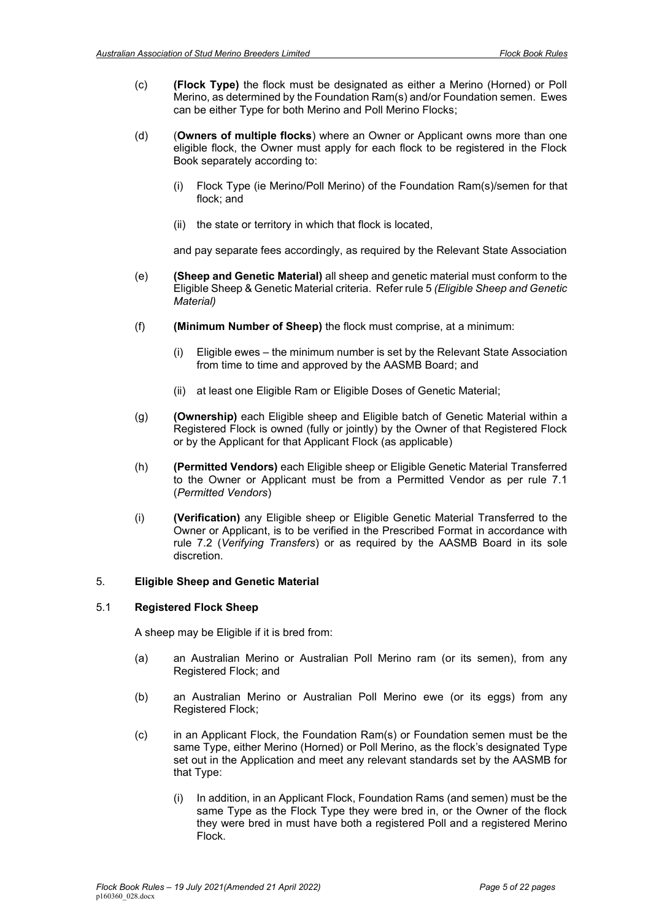- (c) **(Flock Type)** the flock must be designated as either a Merino (Horned) or Poll Merino, as determined by the Foundation Ram(s) and/or Foundation semen. Ewes can be either Type for both Merino and Poll Merino Flocks;
- (d) (**Owners of multiple flocks**) where an Owner or Applicant owns more than one eligible flock, the Owner must apply for each flock to be registered in the Flock Book separately according to:
	- (i) Flock Type (ie Merino/Poll Merino) of the Foundation Ram(s)/semen for that flock; and
	- (ii) the state or territory in which that flock is located,

and pay separate fees accordingly, as required by the Relevant State Association

- (e) **(Sheep and Genetic Material)** all sheep and genetic material must conform to the Eligible Sheep & Genetic Material criteria. Refer rule [5](#page-4-0) *(Eligible Sheep and Genetic Material)*
- (f) **(Minimum Number of Sheep)** the flock must comprise, at a minimum:
	- (i) Eligible ewes the minimum number is set by the Relevant State Association from time to time and approved by the AASMB Board; and
	- (ii) at least one Eligible Ram or Eligible Doses of Genetic Material;
- (g) **(Ownership)** each Eligible sheep and Eligible batch of Genetic Material within a Registered Flock is owned (fully or jointly) by the Owner of that Registered Flock or by the Applicant for that Applicant Flock (as applicable)
- (h) **(Permitted Vendors)** each Eligible sheep or Eligible Genetic Material Transferred to the Owner or Applicant must be from a Permitted Vendor as per rule 7.1 (*Permitted Vendors*)
- (i) **(Verification)** any Eligible sheep or Eligible Genetic Material Transferred to the Owner or Applicant, is to be verified in the Prescribed Format in accordance with rule [7.2](#page-9-0) (*Verifying Transfers*) or as required by the AASMB Board in its sole discretion.

## <span id="page-4-0"></span>5. **Eligible Sheep and Genetic Material**

#### <span id="page-4-1"></span>5.1 **Registered Flock Sheep**

A sheep may be Eligible if it is bred from:

- (a) an Australian Merino or Australian Poll Merino ram (or its semen), from any Registered Flock; and
- (b) an Australian Merino or Australian Poll Merino ewe (or its eggs) from any Registered Flock;
- (c) in an Applicant Flock, the Foundation Ram(s) or Foundation semen must be the same Type, either Merino (Horned) or Poll Merino, as the flock's designated Type set out in the Application and meet any relevant standards set by the AASMB for that Type:
	- (i) In addition, in an Applicant Flock, Foundation Rams (and semen) must be the same Type as the Flock Type they were bred in, or the Owner of the flock they were bred in must have both a registered Poll and a registered Merino Flock.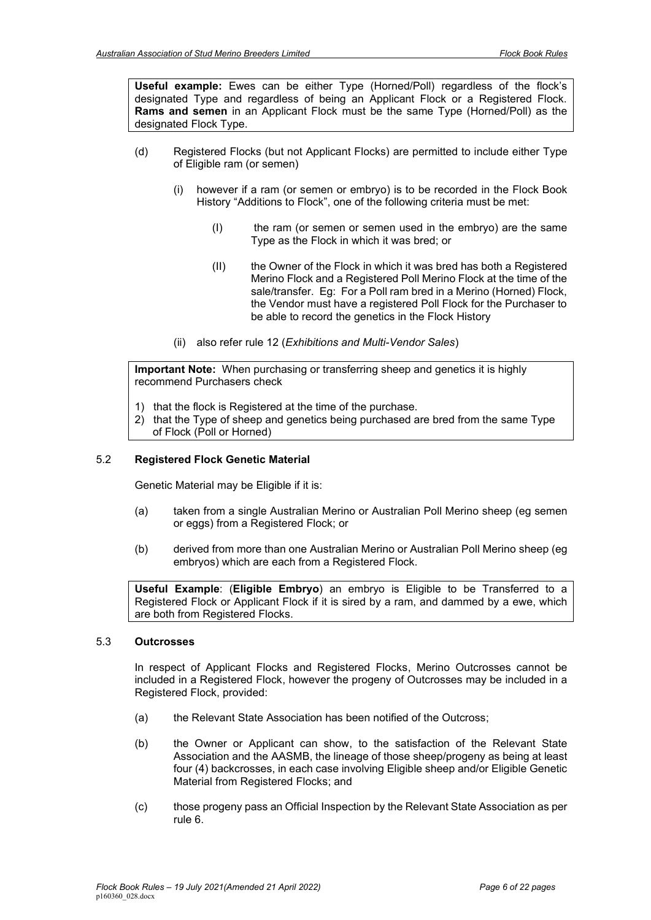**Useful example:** Ewes can be either Type (Horned/Poll) regardless of the flock's designated Type and regardless of being an Applicant Flock or a Registered Flock. **Rams and semen** in an Applicant Flock must be the same Type (Horned/Poll) as the designated Flock Type.

- (d) Registered Flocks (but not Applicant Flocks) are permitted to include either Type of Eligible ram (or semen)
	- (i) however if a ram (or semen or embryo) is to be recorded in the Flock Book History "Additions to Flock", one of the following criteria must be met:
		- (I) the ram (or semen or semen used in the embryo) are the same Type as the Flock in which it was bred; or
		- (II) the Owner of the Flock in which it was bred has both a Registered Merino Flock and a Registered Poll Merino Flock at the time of the sale/transfer. Eg: For a Poll ram bred in a Merino (Horned) Flock, the Vendor must have a registered Poll Flock for the Purchaser to be able to record the genetics in the Flock History
	- (ii) also refer rule 12 (*Exhibitions and Multi-Vendor Sales*)

**Important Note:** When purchasing or transferring sheep and genetics it is highly recommend Purchasers check

- 1) that the flock is Registered at the time of the purchase.
- 2) that the Type of sheep and genetics being purchased are bred from the same Type of Flock (Poll or Horned)

## <span id="page-5-0"></span>5.2 **Registered Flock Genetic Material**

Genetic Material may be Eligible if it is:

- (a) taken from a single Australian Merino or Australian Poll Merino sheep (eg semen or eggs) from a Registered Flock; or
- (b) derived from more than one Australian Merino or Australian Poll Merino sheep (eg embryos) which are each from a Registered Flock.

**Useful Example**: (**Eligible Embryo**) an embryo is Eligible to be Transferred to a Registered Flock or Applicant Flock if it is sired by a ram, and dammed by a ewe, which are both from Registered Flocks.

# <span id="page-5-1"></span>5.3 **Outcrosses**

In respect of Applicant Flocks and Registered Flocks, Merino Outcrosses cannot be included in a Registered Flock, however the progeny of Outcrosses may be included in a Registered Flock, provided:

- (a) the Relevant State Association has been notified of the Outcross;
- (b) the Owner or Applicant can show, to the satisfaction of the Relevant State Association and the AASMB, the lineage of those sheep/progeny as being at least four (4) backcrosses, in each case involving Eligible sheep and/or Eligible Genetic Material from Registered Flocks; and
- (c) those progeny pass an Official Inspection by the Relevant State Association as per rule 6.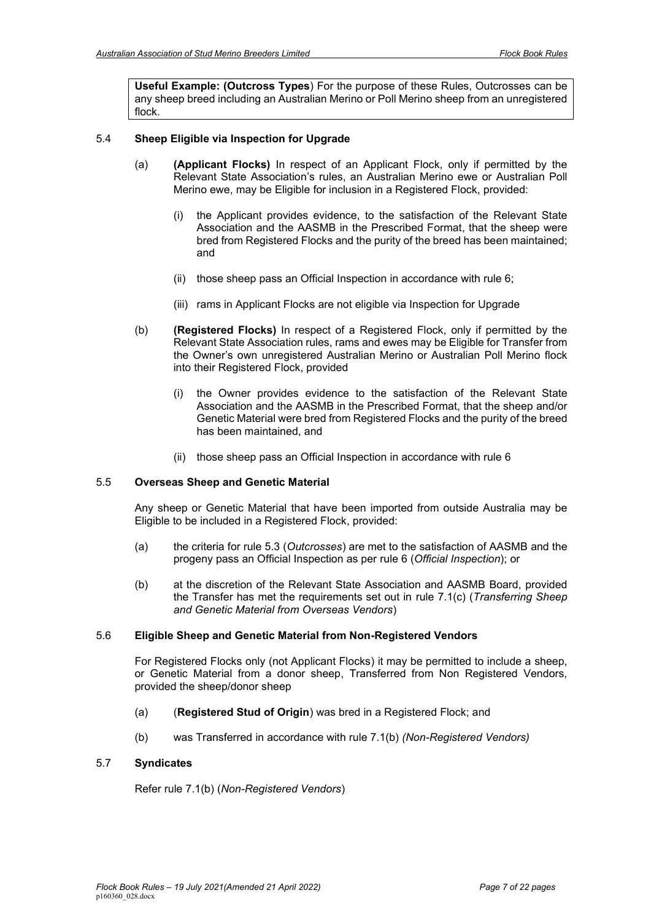**Useful Example: (Outcross Types**) For the purpose of these Rules, Outcrosses can be any sheep breed including an Australian Merino or Poll Merino sheep from an unregistered flock.

## <span id="page-6-0"></span>5.4 **Sheep Eligible via Inspection for Upgrade**

- (a) **(Applicant Flocks)** In respect of an Applicant Flock, only if permitted by the Relevant State Association's rules, an Australian Merino ewe or Australian Poll Merino ewe, may be Eligible for inclusion in a Registered Flock, provided:
	- (i) the Applicant provides evidence, to the satisfaction of the Relevant State Association and the AASMB in the Prescribed Format, that the sheep were bred from Registered Flocks and the purity of the breed has been maintained; and
	- (ii) those sheep pass an Official Inspection in accordance with rule 6;
	- (iii) rams in Applicant Flocks are not eligible via Inspection for Upgrade
- (b) **(Registered Flocks)** In respect of a Registered Flock, only if permitted by the Relevant State Association rules, rams and ewes may be Eligible for Transfer from the Owner's own unregistered Australian Merino or Australian Poll Merino flock into their Registered Flock, provided
	- (i) the Owner provides evidence to the satisfaction of the Relevant State Association and the AASMB in the Prescribed Format, that the sheep and/or Genetic Material were bred from Registered Flocks and the purity of the breed has been maintained, and
	- (ii) those sheep pass an Official Inspection in accordance with rule [6](#page-7-0)

### <span id="page-6-1"></span>5.5 **Overseas Sheep and Genetic Material**

Any sheep or Genetic Material that have been imported from outside Australia may be Eligible to be included in a Registered Flock, provided:

- (a) the criteria for rule 5.3 (*Outcrosses*) are met to the satisfaction of AASMB and the progeny pass an Official Inspection as per rule 6 (*Official Inspection*); or
- (b) at the discretion of the Relevant State Association and AASMB Board, provided the Transfer has met the requirements set out in rule [7.1\(c\)](#page-8-0) (*Transferring Sheep and Genetic Material from Overseas Vendors*)

#### <span id="page-6-2"></span>5.6 **Eligible Sheep and Genetic Material from Non-Registered Vendors**

For Registered Flocks only (not Applicant Flocks) it may be permitted to include a sheep, or Genetic Material from a donor sheep, Transferred from Non Registered Vendors, provided the sheep/donor sheep

- (a) (**Registered Stud of Origin**) was bred in a Registered Flock; and
- (b) was Transferred in accordance with rule [7.1\(b\)](#page-7-3) *(Non-Registered Vendors)*

#### <span id="page-6-3"></span>5.7 **Syndicates**

Refer rule [7.1\(b\)](#page-7-3) (*Non-Registered Vendors*)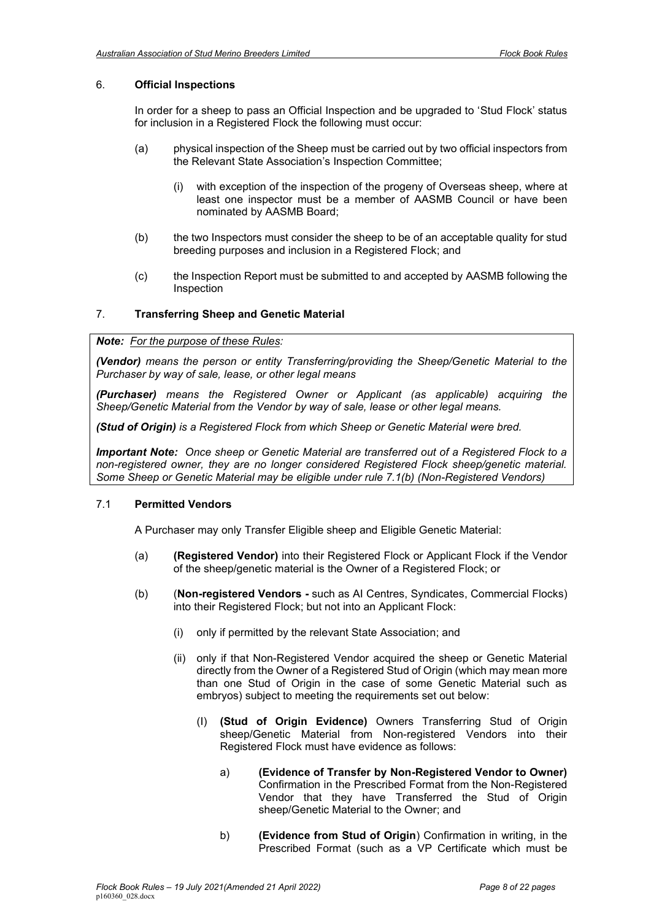# <span id="page-7-0"></span>6. **Official Inspections**

In order for a sheep to pass an Official Inspection and be upgraded to 'Stud Flock' status for inclusion in a Registered Flock the following must occur:

- (a) physical inspection of the Sheep must be carried out by two official inspectors from the Relevant State Association's Inspection Committee;
	- (i) with exception of the inspection of the progeny of Overseas sheep, where at least one inspector must be a member of AASMB Council or have been nominated by AASMB Board;
- (b) the two Inspectors must consider the sheep to be of an acceptable quality for stud breeding purposes and inclusion in a Registered Flock; and
- (c) the Inspection Report must be submitted to and accepted by AASMB following the Inspection

# <span id="page-7-1"></span>7. **Transferring Sheep and Genetic Material**

### *Note: For the purpose of these Rules:*

*(Vendor) means the person or entity Transferring/providing the Sheep/Genetic Material to the Purchaser by way of sale, lease, or other legal means* 

*(Purchaser) means the Registered Owner or Applicant (as applicable) acquiring the Sheep/Genetic Material from the Vendor by way of sale, lease or other legal means.*

*(Stud of Origin) is a Registered Flock from which Sheep or Genetic Material were bred.* 

*Important Note: Once sheep or Genetic Material are transferred out of a Registered Flock to a non-registered owner, they are no longer considered Registered Flock sheep/genetic material. Some Sheep or Genetic Material may be eligible under rule 7.1(b) (Non-Registered Vendors)*

### <span id="page-7-2"></span>7.1 **Permitted Vendors**

A Purchaser may only Transfer Eligible sheep and Eligible Genetic Material:

- (a) **(Registered Vendor)** into their Registered Flock or Applicant Flock if the Vendor of the sheep/genetic material is the Owner of a Registered Flock; or
- <span id="page-7-3"></span>(b) (**Non-registered Vendors -** such as AI Centres, Syndicates, Commercial Flocks) into their Registered Flock; but not into an Applicant Flock:
	- (i) only if permitted by the relevant State Association; and
	- (ii) only if that Non-Registered Vendor acquired the sheep or Genetic Material directly from the Owner of a Registered Stud of Origin (which may mean more than one Stud of Origin in the case of some Genetic Material such as embryos) subject to meeting the requirements set out below:
		- (I) **(Stud of Origin Evidence)** Owners Transferring Stud of Origin sheep/Genetic Material from Non-registered Vendors into their Registered Flock must have evidence as follows:
			- a) **(Evidence of Transfer by Non-Registered Vendor to Owner)** Confirmation in the Prescribed Format from the Non-Registered Vendor that they have Transferred the Stud of Origin sheep/Genetic Material to the Owner; and
			- b) **(Evidence from Stud of Origin**) Confirmation in writing, in the Prescribed Format (such as a VP Certificate which must be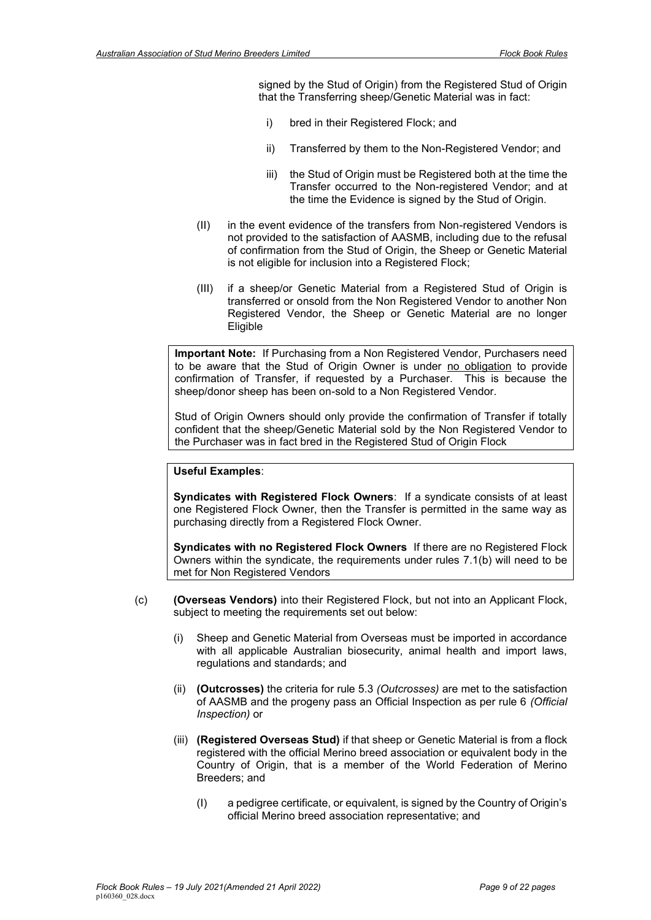signed by the Stud of Origin) from the Registered Stud of Origin that the Transferring sheep/Genetic Material was in fact:

- i) bred in their Registered Flock; and
- ii) Transferred by them to the Non-Registered Vendor; and
- iii) the Stud of Origin must be Registered both at the time the Transfer occurred to the Non-registered Vendor; and at the time the Evidence is signed by the Stud of Origin.
- (II) in the event evidence of the transfers from Non-registered Vendors is not provided to the satisfaction of AASMB, including due to the refusal of confirmation from the Stud of Origin, the Sheep or Genetic Material is not eligible for inclusion into a Registered Flock;
- (III) if a sheep/or Genetic Material from a Registered Stud of Origin is transferred or onsold from the Non Registered Vendor to another Non Registered Vendor, the Sheep or Genetic Material are no longer Eligible

**Important Note:** If Purchasing from a Non Registered Vendor, Purchasers need to be aware that the Stud of Origin Owner is under no obligation to provide confirmation of Transfer, if requested by a Purchaser. This is because the sheep/donor sheep has been on-sold to a Non Registered Vendor.

Stud of Origin Owners should only provide the confirmation of Transfer if totally confident that the sheep/Genetic Material sold by the Non Registered Vendor to the Purchaser was in fact bred in the Registered Stud of Origin Flock

### **Useful Examples**:

**Syndicates with Registered Flock Owners**: If a syndicate consists of at least one Registered Flock Owner, then the Transfer is permitted in the same way as purchasing directly from a Registered Flock Owner.

**Syndicates with no Registered Flock Owners** If there are no Registered Flock Owners within the syndicate, the requirements under rules [7.1\(b\)](#page-7-3) will need to be met for Non Registered Vendors

- <span id="page-8-0"></span>(c) **(Overseas Vendors)** into their Registered Flock, but not into an Applicant Flock, subject to meeting the requirements set out below:
	- (i) Sheep and Genetic Material from Overseas must be imported in accordance with all applicable Australian biosecurity, animal health and import laws, regulations and standards; and
	- (ii) **(Outcrosses)** the criteria for rule 5.3 *(Outcrosses)* are met to the satisfaction of AASMB and the progeny pass an Official Inspection as per rule 6 *(Official Inspection)* or
	- (iii) **(Registered Overseas Stud)** if that sheep or Genetic Material is from a flock registered with the official Merino breed association or equivalent body in the Country of Origin, that is a member of the World Federation of Merino Breeders; and
		- (I) a pedigree certificate, or equivalent, is signed by the Country of Origin's official Merino breed association representative; and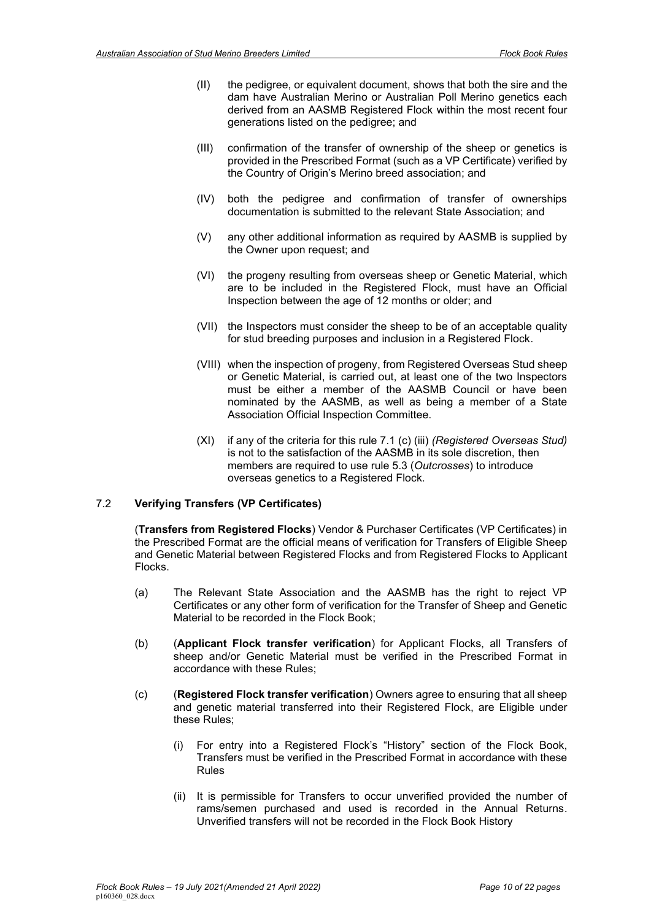- (II) the pedigree, or equivalent document, shows that both the sire and the dam have Australian Merino or Australian Poll Merino genetics each derived from an AASMB Registered Flock within the most recent four generations listed on the pedigree; and
- (III) confirmation of the transfer of ownership of the sheep or genetics is provided in the Prescribed Format (such as a VP Certificate) verified by the Country of Origin's Merino breed association; and
- (IV) both the pedigree and confirmation of transfer of ownerships documentation is submitted to the relevant State Association; and
- (V) any other additional information as required by AASMB is supplied by the Owner upon request; and
- (VI) the progeny resulting from overseas sheep or Genetic Material, which are to be included in the Registered Flock, must have an Official Inspection between the age of 12 months or older; and
- (VII) the Inspectors must consider the sheep to be of an acceptable quality for stud breeding purposes and inclusion in a Registered Flock.
- (VIII) when the inspection of progeny, from Registered Overseas Stud sheep or Genetic Material, is carried out, at least one of the two Inspectors must be either a member of the AASMB Council or have been nominated by the AASMB, as well as being a member of a State Association Official Inspection Committee.
- (XI) if any of the criteria for this rule 7.1 (c) (iii) *(Registered Overseas Stud)* is not to the satisfaction of the AASMB in its sole discretion, then members are required to use rule 5.3 (*Outcrosses*) to introduce overseas genetics to a Registered Flock.

### <span id="page-9-0"></span>7.2 **Verifying Transfers (VP Certificates)**

(**Transfers from Registered Flocks**) Vendor & Purchaser Certificates (VP Certificates) in the Prescribed Format are the official means of verification for Transfers of Eligible Sheep and Genetic Material between Registered Flocks and from Registered Flocks to Applicant Flocks.

- (a) The Relevant State Association and the AASMB has the right to reject VP Certificates or any other form of verification for the Transfer of Sheep and Genetic Material to be recorded in the Flock Book;
- (b) (**Applicant Flock transfer verification**) for Applicant Flocks, all Transfers of sheep and/or Genetic Material must be verified in the Prescribed Format in accordance with these Rules;
- (c) (**Registered Flock transfer verification**) Owners agree to ensuring that all sheep and genetic material transferred into their Registered Flock, are Eligible under these Rules;
	- (i) For entry into a Registered Flock's "History" section of the Flock Book, Transfers must be verified in the Prescribed Format in accordance with these Rules
	- (ii) It is permissible for Transfers to occur unverified provided the number of rams/semen purchased and used is recorded in the Annual Returns. Unverified transfers will not be recorded in the Flock Book History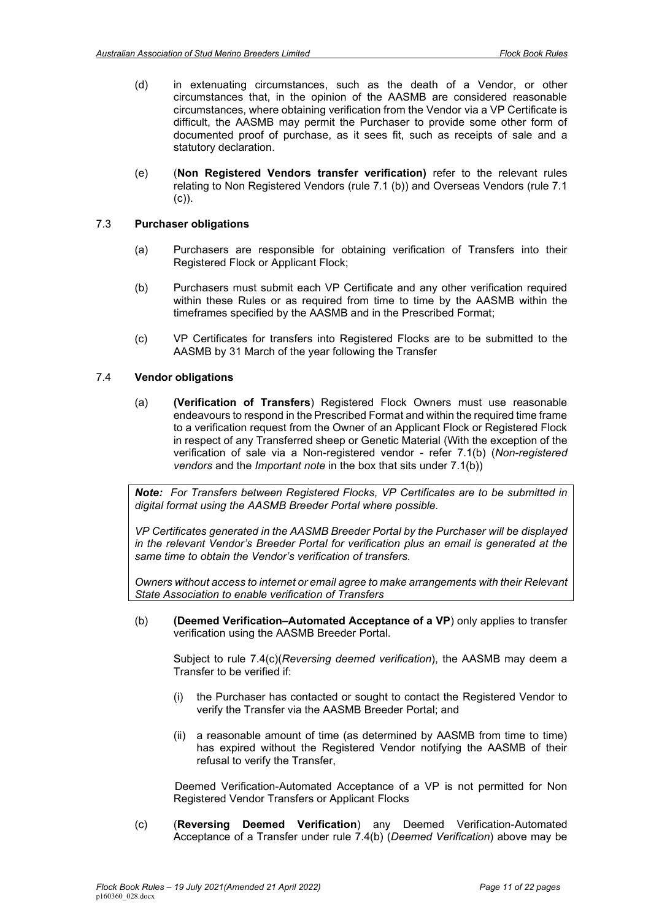- (d) in extenuating circumstances, such as the death of a Vendor, or other circumstances that, in the opinion of the AASMB are considered reasonable circumstances, where obtaining verification from the Vendor via a VP Certificate is difficult, the AASMB may permit the Purchaser to provide some other form of documented proof of purchase, as it sees fit, such as receipts of sale and a statutory declaration.
- (e) (**Non Registered Vendors transfer verification)** refer to the relevant rules relating to Non Registered Vendors (rule 7.1 (b)) and Overseas Vendors (rule 7.1 (c)).

# <span id="page-10-0"></span>7.3 **Purchaser obligations**

- (a) Purchasers are responsible for obtaining verification of Transfers into their Registered Flock or Applicant Flock;
- (b) Purchasers must submit each VP Certificate and any other verification required within these Rules or as required from time to time by the AASMB within the timeframes specified by the AASMB and in the Prescribed Format;
- (c) VP Certificates for transfers into Registered Flocks are to be submitted to the AASMB by 31 March of the year following the Transfer

### <span id="page-10-1"></span>7.4 **Vendor obligations**

(a) **(Verification of Transfers**) Registered Flock Owners must use reasonable endeavours to respond in the Prescribed Format and within the required time frame to a verification request from the Owner of an Applicant Flock or Registered Flock in respect of any Transferred sheep or Genetic Material (With the exception of the verification of sale via a Non-registered vendor - refer [7.1\(b\)](#page-7-3) (*Non-registered vendors* and the *Important note* in the box that sits under 7.1(b))

*Note: For Transfers between Registered Flocks, VP Certificates are to be submitted in digital format using the AASMB Breeder Portal where possible.*

*VP Certificates generated in the AASMB Breeder Portal by the Purchaser will be displayed in the relevant Vendor's Breeder Portal for verification plus an email is generated at the same time to obtain the Vendor's verification of transfers.* 

*Owners without access to internet or email agree to make arrangements with their Relevant State Association to enable verification of Transfers*

<span id="page-10-3"></span>(b) **(Deemed Verification–Automated Acceptance of a VP**) only applies to transfer verification using the AASMB Breeder Portal.

Subject to rule [7.4\(c\)\(](#page-10-2)*Reversing deemed verification*), the AASMB may deem a Transfer to be verified if:

- (i) the Purchaser has contacted or sought to contact the Registered Vendor to verify the Transfer via the AASMB Breeder Portal; and
- (ii) a reasonable amount of time (as determined by AASMB from time to time) has expired without the Registered Vendor notifying the AASMB of their refusal to verify the Transfer,

Deemed Verification-Automated Acceptance of a VP is not permitted for Non Registered Vendor Transfers or Applicant Flocks

<span id="page-10-2"></span>(c) (**Reversing Deemed Verification**) any Deemed Verification-Automated Acceptance of a Transfer under rule [7.4\(b\)](#page-10-3) (*Deemed Verification*) above may be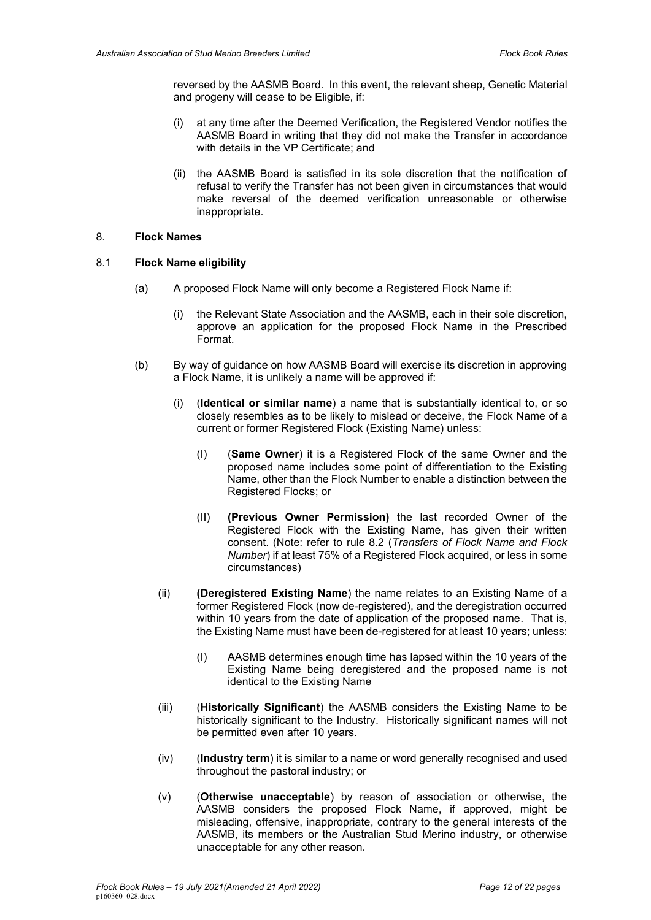reversed by the AASMB Board. In this event, the relevant sheep, Genetic Material and progeny will cease to be Eligible, if:

- (i) at any time after the Deemed Verification, the Registered Vendor notifies the AASMB Board in writing that they did not make the Transfer in accordance with details in the VP Certificate; and
- (ii) the AASMB Board is satisfied in its sole discretion that the notification of refusal to verify the Transfer has not been given in circumstances that would make reversal of the deemed verification unreasonable or otherwise inappropriate.

### <span id="page-11-0"></span>8. **Flock Names**

#### <span id="page-11-1"></span>8.1 **Flock Name eligibility**

- (a) A proposed Flock Name will only become a Registered Flock Name if:
	- (i) the Relevant State Association and the AASMB, each in their sole discretion, approve an application for the proposed Flock Name in the Prescribed Format.
- (b) By way of guidance on how AASMB Board will exercise its discretion in approving a Flock Name, it is unlikely a name will be approved if:
	- (i) (**Identical or similar name**) a name that is substantially identical to, or so closely resembles as to be likely to mislead or deceive, the Flock Name of a current or former Registered Flock (Existing Name) unless:
		- (I) (**Same Owner**) it is a Registered Flock of the same Owner and the proposed name includes some point of differentiation to the Existing Name, other than the Flock Number to enable a distinction between the Registered Flocks; or
		- (II) **(Previous Owner Permission)** the last recorded Owner of the Registered Flock with the Existing Name, has given their written consent. (Note: refer to rule [8.2](#page-12-0) (*Transfers of Flock Name and Flock Number*) if at least 75% of a Registered Flock acquired, or less in some circumstances)
	- (ii) **(Deregistered Existing Name**) the name relates to an Existing Name of a former Registered Flock (now de-registered), and the deregistration occurred within 10 years from the date of application of the proposed name. That is, the Existing Name must have been de-registered for at least 10 years; unless:
		- (I) AASMB determines enough time has lapsed within the 10 years of the Existing Name being deregistered and the proposed name is not identical to the Existing Name
	- (iii) (**Historically Significant**) the AASMB considers the Existing Name to be historically significant to the Industry. Historically significant names will not be permitted even after 10 years.
	- (iv) (**Industry term**) it is similar to a name or word generally recognised and used throughout the pastoral industry; or
	- (v) (**Otherwise unacceptable**) by reason of association or otherwise, the AASMB considers the proposed Flock Name, if approved, might be misleading, offensive, inappropriate, contrary to the general interests of the AASMB, its members or the Australian Stud Merino industry, or otherwise unacceptable for any other reason.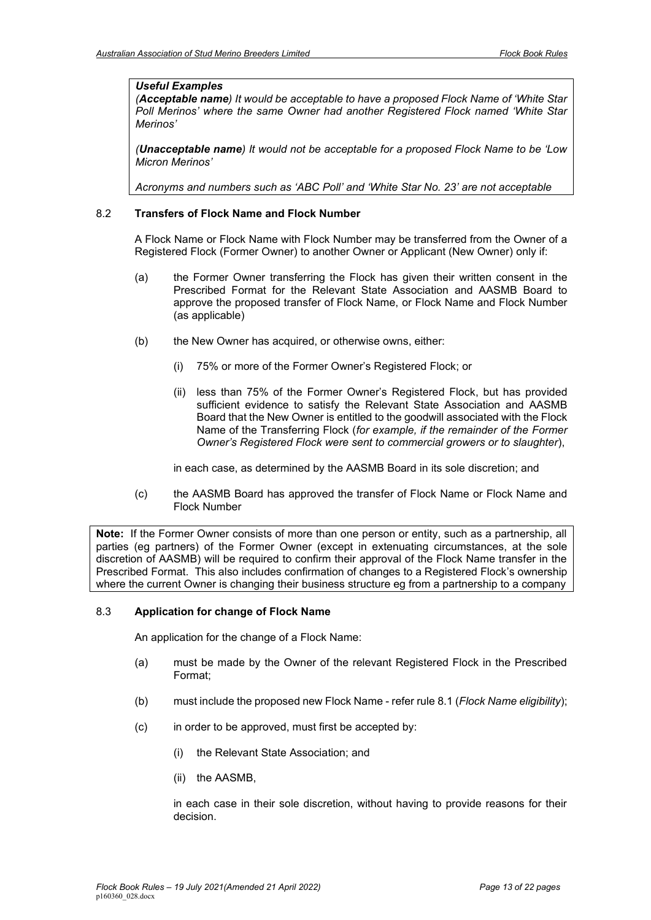## *Useful Examples*

*(Acceptable name) It would be acceptable to have a proposed Flock Name of 'White Star Poll Merinos' where the same Owner had another Registered Flock named 'White Star Merinos'*

*(Unacceptable name) It would not be acceptable for a proposed Flock Name to be 'Low Micron Merinos'*

*Acronyms and numbers such as 'ABC Poll' and 'White Star No. 23' are not acceptable*

# <span id="page-12-0"></span>8.2 **Transfers of Flock Name and Flock Number**

A Flock Name or Flock Name with Flock Number may be transferred from the Owner of a Registered Flock (Former Owner) to another Owner or Applicant (New Owner) only if:

- (a) the Former Owner transferring the Flock has given their written consent in the Prescribed Format for the Relevant State Association and AASMB Board to approve the proposed transfer of Flock Name, or Flock Name and Flock Number (as applicable)
- (b) the New Owner has acquired, or otherwise owns, either:
	- (i) 75% or more of the Former Owner's Registered Flock; or
	- (ii) less than 75% of the Former Owner's Registered Flock, but has provided sufficient evidence to satisfy the Relevant State Association and AASMB Board that the New Owner is entitled to the goodwill associated with the Flock Name of the Transferring Flock (*for example, if the remainder of the Former Owner's Registered Flock were sent to commercial growers or to slaughter*),

in each case, as determined by the AASMB Board in its sole discretion; and

(c) the AASMB Board has approved the transfer of Flock Name or Flock Name and Flock Number

**Note:** If the Former Owner consists of more than one person or entity, such as a partnership, all parties (eg partners) of the Former Owner (except in extenuating circumstances, at the sole discretion of AASMB) will be required to confirm their approval of the Flock Name transfer in the Prescribed Format. This also includes confirmation of changes to a Registered Flock's ownership where the current Owner is changing their business structure eg from a partnership to a company

### <span id="page-12-1"></span>8.3 **Application for change of Flock Name**

An application for the change of a Flock Name:

- (a) must be made by the Owner of the relevant Registered Flock in the Prescribed Format;
- (b) must include the proposed new Flock Name refer rule [8.1](#page-11-1) (*[Flock Name](#page-11-1) eligibility*);
- (c) in order to be approved, must first be accepted by:
	- (i) the Relevant State Association; and
	- (ii) the AASMB,

in each case in their sole discretion, without having to provide reasons for their decision.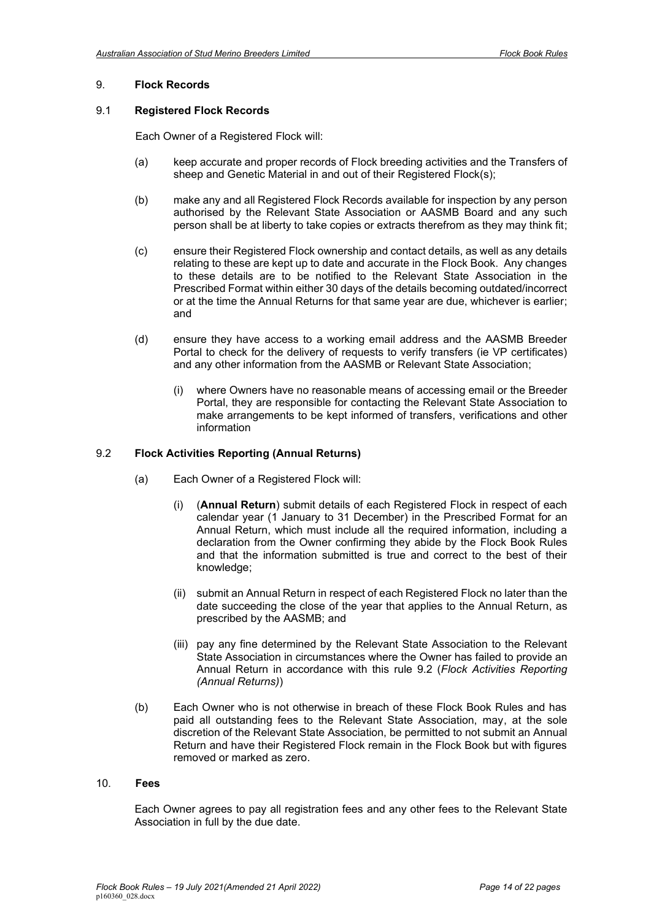#### <span id="page-13-0"></span>9. **Flock Records**

#### <span id="page-13-1"></span>9.1 **Registered Flock Records**

Each Owner of a Registered Flock will:

- (a) keep accurate and proper records of Flock breeding activities and the Transfers of sheep and Genetic Material in and out of their Registered Flock(s);
- (b) make any and all Registered Flock Records available for inspection by any person authorised by the Relevant State Association or AASMB Board and any such person shall be at liberty to take copies or extracts therefrom as they may think fit;
- (c) ensure their Registered Flock ownership and contact details, as well as any details relating to these are kept up to date and accurate in the Flock Book. Any changes to these details are to be notified to the Relevant State Association in the Prescribed Format within either 30 days of the details becoming outdated/incorrect or at the time the Annual Returns for that same year are due, whichever is earlier; and
- (d) ensure they have access to a working email address and the AASMB Breeder Portal to check for the delivery of requests to verify transfers (ie VP certificates) and any other information from the AASMB or Relevant State Association;
	- (i) where Owners have no reasonable means of accessing email or the Breeder Portal, they are responsible for contacting the Relevant State Association to make arrangements to be kept informed of transfers, verifications and other information

#### <span id="page-13-2"></span>9.2 **Flock Activities Reporting (Annual Returns)**

- (a) Each Owner of a Registered Flock will:
	- (i) (**Annual Return**) submit details of each Registered Flock in respect of each calendar year (1 January to 31 December) in the Prescribed Format for an Annual Return, which must include all the required information, including a declaration from the Owner confirming they abide by the Flock Book Rules and that the information submitted is true and correct to the best of their knowledge;
	- (ii) submit an Annual Return in respect of each Registered Flock no later than the date succeeding the close of the year that applies to the Annual Return, as prescribed by the AASMB; and
	- (iii) pay any fine determined by the Relevant State Association to the Relevant State Association in circumstances where the Owner has failed to provide an Annual Return in accordance with this rule [9.2](#page-13-2) (*[Flock Activities Reporting](#page-13-2)  [\(Annual Returns\)](#page-13-2)*)
- (b) Each Owner who is not otherwise in breach of these Flock Book Rules and has paid all outstanding fees to the Relevant State Association, may, at the sole discretion of the Relevant State Association, be permitted to not submit an Annual Return and have their Registered Flock remain in the Flock Book but with figures removed or marked as zero.

#### 10. **Fees**

<span id="page-13-3"></span>Each Owner agrees to pay all registration fees and any other fees to the Relevant State Association in full by the due date.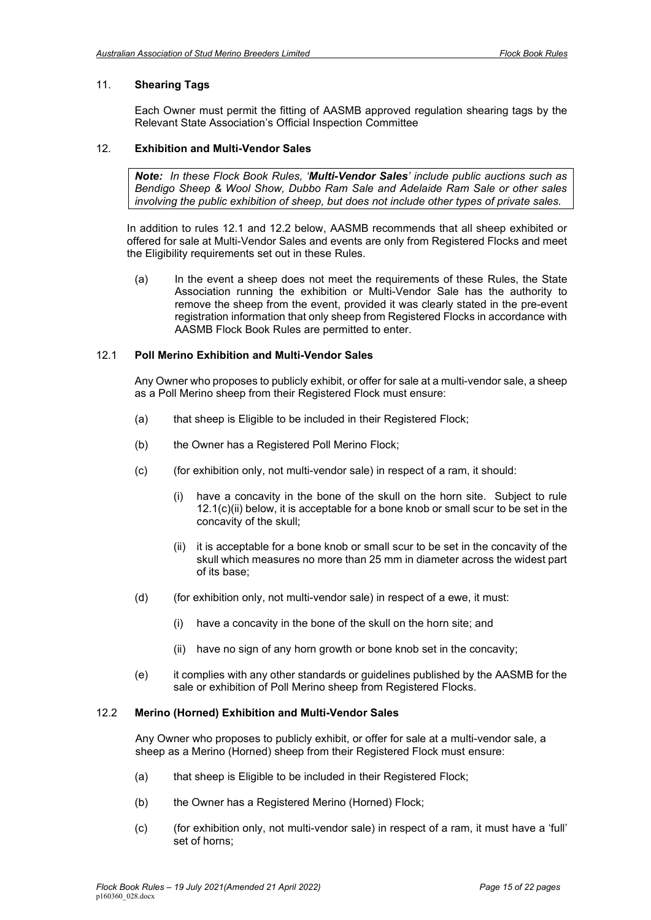# <span id="page-14-0"></span>11. **Shearing Tags**

Each Owner must permit the fitting of AASMB approved regulation shearing tags by the Relevant State Association's Official Inspection Committee

## <span id="page-14-1"></span>12. **Exhibition and Multi-Vendor Sales**

*Note: In these Flock Book Rules, 'Multi-Vendor Sales' include public auctions such as Bendigo Sheep & Wool Show, Dubbo Ram Sale and Adelaide Ram Sale or other sales involving the public exhibition of sheep, but does not include other types of private sales.* 

In addition to rules 12.1 and 12.2 below, AASMB recommends that all sheep exhibited or offered for sale at Multi-Vendor Sales and events are only from Registered Flocks and meet the Eligibility requirements set out in these Rules.

(a) In the event a sheep does not meet the requirements of these Rules, the State Association running the exhibition or Multi-Vendor Sale has the authority to remove the sheep from the event, provided it was clearly stated in the pre-event registration information that only sheep from Registered Flocks in accordance with AASMB Flock Book Rules are permitted to enter.

# <span id="page-14-2"></span>12.1 **Poll Merino Exhibition and Multi-Vendor Sales**

Any Owner who proposes to publicly exhibit, or offer for sale at a multi-vendor sale, a sheep as a Poll Merino sheep from their Registered Flock must ensure:

- (a) that sheep is Eligible to be included in their Registered Flock;
- (b) the Owner has a Registered Poll Merino Flock;
- (c) (for exhibition only, not multi-vendor sale) in respect of a ram, it should:
	- (i) have a concavity in the bone of the skull on the horn site. Subject to rule 12.1(c)(ii) below, it is acceptable for a bone knob or small scur to be set in the concavity of the skull;
	- (ii) it is acceptable for a bone knob or small scur to be set in the concavity of the skull which measures no more than 25 mm in diameter across the widest part of its base;
- (d) (for exhibition only, not multi-vendor sale) in respect of a ewe, it must:
	- (i) have a concavity in the bone of the skull on the horn site; and
	- (ii) have no sign of any horn growth or bone knob set in the concavity;
- (e) it complies with any other standards or guidelines published by the AASMB for the sale or exhibition of Poll Merino sheep from Registered Flocks.

# <span id="page-14-3"></span>12.2 **Merino (Horned) Exhibition and Multi-Vendor Sales**

Any Owner who proposes to publicly exhibit, or offer for sale at a multi-vendor sale, a sheep as a Merino (Horned) sheep from their Registered Flock must ensure:

- (a) that sheep is Eligible to be included in their Registered Flock;
- (b) the Owner has a Registered Merino (Horned) Flock;
- (c) (for exhibition only, not multi-vendor sale) in respect of a ram, it must have a 'full' set of horns;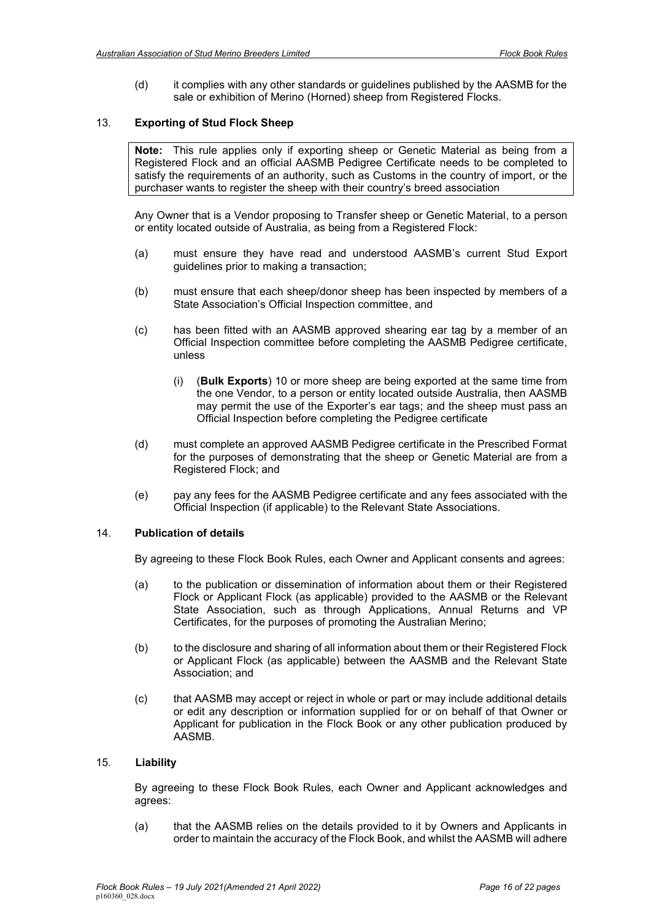(d) it complies with any other standards or guidelines published by the AASMB for the sale or exhibition of Merino (Horned) sheep from Registered Flocks.

#### <span id="page-15-0"></span>13. **Exporting of Stud Flock Sheep**

**Note:** This rule applies only if exporting sheep or Genetic Material as being from a Registered Flock and an official AASMB Pedigree Certificate needs to be completed to satisfy the requirements of an authority, such as Customs in the country of import, or the purchaser wants to register the sheep with their country's breed association

Any Owner that is a Vendor proposing to Transfer sheep or Genetic Material, to a person or entity located outside of Australia, as being from a Registered Flock:

- (a) must ensure they have read and understood AASMB's current Stud Export guidelines prior to making a transaction;
- (b) must ensure that each sheep/donor sheep has been inspected by members of a State Association's Official Inspection committee, and
- (c) has been fitted with an AASMB approved shearing ear tag by a member of an Official Inspection committee before completing the AASMB Pedigree certificate, unless
	- (i) (**Bulk Exports**) 10 or more sheep are being exported at the same time from the one Vendor, to a person or entity located outside Australia, then AASMB may permit the use of the Exporter's ear tags; and the sheep must pass an Official Inspection before completing the Pedigree certificate
- (d) must complete an approved AASMB Pedigree certificate in the Prescribed Format for the purposes of demonstrating that the sheep or Genetic Material are from a Registered Flock; and
- (e) pay any fees for the AASMB Pedigree certificate and any fees associated with the Official Inspection (if applicable) to the Relevant State Associations.

#### <span id="page-15-1"></span>14. **Publication of details**

By agreeing to these Flock Book Rules, each Owner and Applicant consents and agrees:

- (a) to the publication or dissemination of information about them or their Registered Flock or Applicant Flock (as applicable) provided to the AASMB or the Relevant State Association, such as through Applications, Annual Returns and VP Certificates, for the purposes of promoting the Australian Merino;
- (b) to the disclosure and sharing of all information about them or their Registered Flock or Applicant Flock (as applicable) between the AASMB and the Relevant State Association; and
- (c) that AASMB may accept or reject in whole or part or may include additional details or edit any description or information supplied for or on behalf of that Owner or Applicant for publication in the Flock Book or any other publication produced by AASMB.

### 15. **Liability**

<span id="page-15-2"></span>By agreeing to these Flock Book Rules, each Owner and Applicant acknowledges and agrees:

(a) that the AASMB relies on the details provided to it by Owners and Applicants in order to maintain the accuracy of the Flock Book, and whilst the AASMB will adhere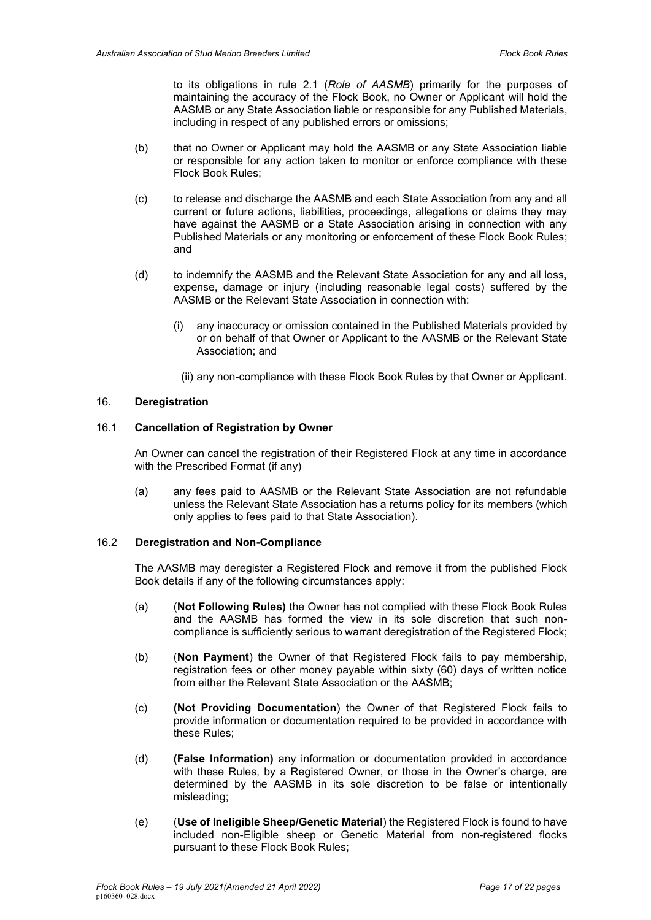to its obligations in rule [2.1](#page-2-2) (*Role of AASMB*) primarily for the purposes of maintaining the accuracy of the Flock Book, no Owner or Applicant will hold the AASMB or any State Association liable or responsible for any Published Materials, including in respect of any published errors or omissions;

- (b) that no Owner or Applicant may hold the AASMB or any State Association liable or responsible for any action taken to monitor or enforce compliance with these Flock Book Rules;
- (c) to release and discharge the AASMB and each State Association from any and all current or future actions, liabilities, proceedings, allegations or claims they may have against the AASMB or a State Association arising in connection with any Published Materials or any monitoring or enforcement of these Flock Book Rules; and
- (d) to indemnify the AASMB and the Relevant State Association for any and all loss, expense, damage or injury (including reasonable legal costs) suffered by the AASMB or the Relevant State Association in connection with:
	- (i) any inaccuracy or omission contained in the Published Materials provided by or on behalf of that Owner or Applicant to the AASMB or the Relevant State Association; and
	- (ii) any non-compliance with these Flock Book Rules by that Owner or Applicant.

## <span id="page-16-0"></span>16. **Deregistration**

#### <span id="page-16-1"></span>16.1 **Cancellation of Registration by Owner**

An Owner can cancel the registration of their Registered Flock at any time in accordance with the Prescribed Format (if any)

(a) any fees paid to AASMB or the Relevant State Association are not refundable unless the Relevant State Association has a returns policy for its members (which only applies to fees paid to that State Association).

### 16.2 **Deregistration and Non-Compliance**

<span id="page-16-2"></span>The AASMB may deregister a Registered Flock and remove it from the published Flock Book details if any of the following circumstances apply:

- (a) (**Not Following Rules)** the Owner has not complied with these Flock Book Rules and the AASMB has formed the view in its sole discretion that such noncompliance is sufficiently serious to warrant deregistration of the Registered Flock;
- (b) (**Non Payment**) the Owner of that Registered Flock fails to pay membership, registration fees or other money payable within sixty (60) days of written notice from either the Relevant State Association or the AASMB;
- (c) **(Not Providing Documentation**) the Owner of that Registered Flock fails to provide information or documentation required to be provided in accordance with these Rules;
- (d) **(False Information)** any information or documentation provided in accordance with these Rules, by a Registered Owner, or those in the Owner's charge, are determined by the AASMB in its sole discretion to be false or intentionally misleading;
- (e) (**Use of Ineligible Sheep/Genetic Material**) the Registered Flock is found to have included non-Eligible sheep or Genetic Material from non-registered flocks pursuant to these Flock Book Rules;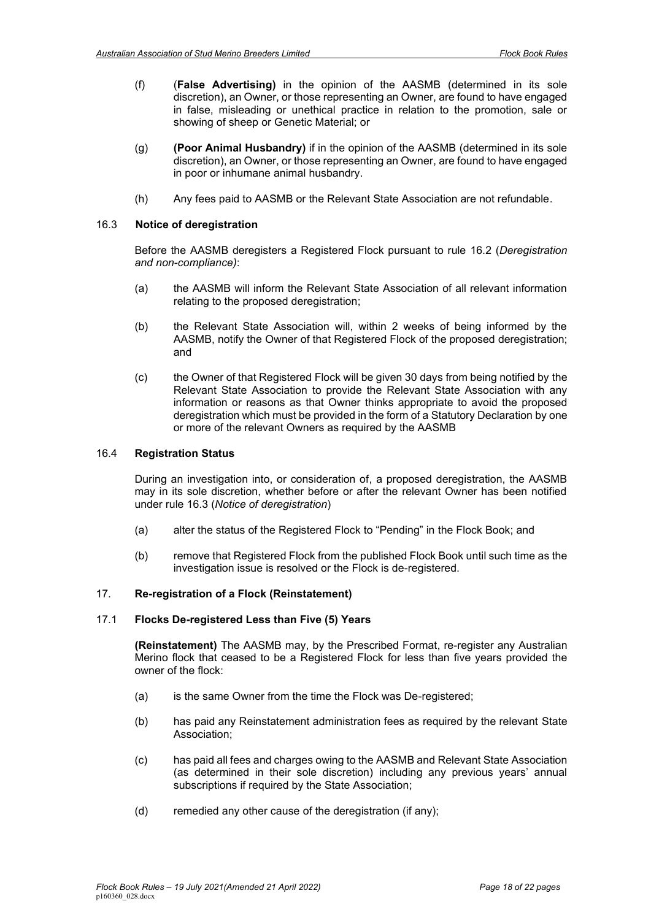- (f) (**False Advertising)** in the opinion of the AASMB (determined in its sole discretion), an Owner, or those representing an Owner, are found to have engaged in false, misleading or unethical practice in relation to the promotion, sale or showing of sheep or Genetic Material; or
- (g) **(Poor Animal Husbandry)** if in the opinion of the AASMB (determined in its sole discretion), an Owner, or those representing an Owner, are found to have engaged in poor or inhumane animal husbandry.
- (h) Any fees paid to AASMB or the Relevant State Association are not refundable.

# 16.3 **Notice of deregistration**

<span id="page-17-0"></span>Before the AASMB deregisters a Registered Flock pursuant to rule [16.2](#page-16-2) (*Deregistration and non-compliance)*:

- (a) the AASMB will inform the Relevant State Association of all relevant information relating to the proposed deregistration;
- (b) the Relevant State Association will, within 2 weeks of being informed by the AASMB, notify the Owner of that Registered Flock of the proposed deregistration; and
- (c) the Owner of that Registered Flock will be given 30 days from being notified by the Relevant State Association to provide the Relevant State Association with any information or reasons as that Owner thinks appropriate to avoid the proposed deregistration which must be provided in the form of a Statutory Declaration by one or more of the relevant Owners as required by the AASMB

# <span id="page-17-1"></span>16.4 **Registration Status**

During an investigation into, or consideration of, a proposed deregistration, the AASMB may in its sole discretion, whether before or after the relevant Owner has been notified under rule [16.3](#page-17-0) (*Notice of deregistration*)

- (a) alter the status of the Registered Flock to "Pending" in the Flock Book; and
- (b) remove that Registered Flock from the published Flock Book until such time as the investigation issue is resolved or the Flock is de-registered.

# <span id="page-17-2"></span>17. **Re-registration of a Flock (Reinstatement)**

### <span id="page-17-3"></span>17.1 **Flocks De-registered Less than Five (5) Years**

**(Reinstatement)** The AASMB may, by the Prescribed Format, re-register any Australian Merino flock that ceased to be a Registered Flock for less than five years provided the owner of the flock:

- (a) is the same Owner from the time the Flock was De-registered;
- (b) has paid any Reinstatement administration fees as required by the relevant State Association;
- (c) has paid all fees and charges owing to the AASMB and Relevant State Association (as determined in their sole discretion) including any previous years' annual subscriptions if required by the State Association;
- (d) remedied any other cause of the deregistration (if any);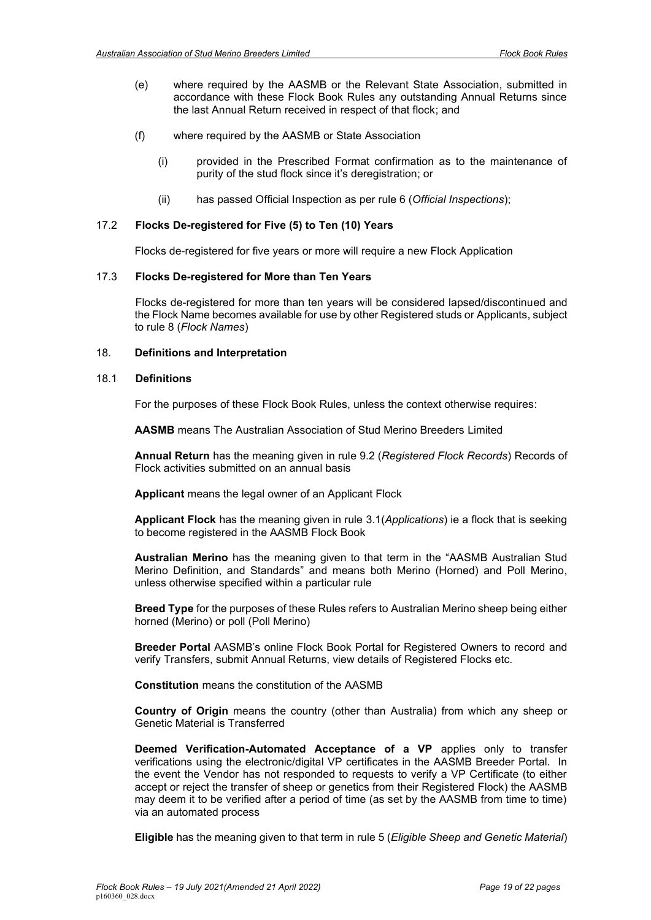- (e) where required by the AASMB or the Relevant State Association, submitted in accordance with these Flock Book Rules any outstanding Annual Returns since the last Annual Return received in respect of that flock; and
- (f) where required by the AASMB or State Association
	- (i) provided in the Prescribed Format confirmation as to the maintenance of purity of the stud flock since it's deregistration; or
	- (ii) has passed Official Inspection as per rule 6 (*Official Inspections*);

#### 17.2 **Flocks De-registered for Five (5) to Ten (10) Years**

<span id="page-18-0"></span>Flocks de-registered for five years or more will require a new Flock Application

#### 17.3 **Flocks De-registered for More than Ten Years**

Flocks de-registered for more than ten years will be considered lapsed/discontinued and the Flock Name becomes available for use by other Registered studs or Applicants, subject to rule 8 (*Flock Names*)

#### <span id="page-18-1"></span>18. **Definitions and Interpretation**

#### 18.1 **Definitions**

<span id="page-18-2"></span>For the purposes of these Flock Book Rules, unless the context otherwise requires:

**AASMB** means The Australian Association of Stud Merino Breeders Limited

**Annual Return** has the meaning given in rule [9.2](#page-13-2) (*Registered Flock Records*) Records of Flock activities submitted on an annual basis

**Applicant** means the legal owner of an Applicant Flock

**Applicant Flock** has the meaning given in rule [3.1\(](#page-3-2)*Applications*) ie a flock that is seeking to become registered in the AASMB Flock Book

**Australian Merino** has the meaning given to that term in the "AASMB Australian Stud Merino Definition, and Standards" and means both Merino (Horned) and Poll Merino, unless otherwise specified within a particular rule

**Breed Type** for the purposes of these Rules refers to Australian Merino sheep being either horned (Merino) or poll (Poll Merino)

**Breeder Portal** AASMB's online Flock Book Portal for Registered Owners to record and verify Transfers, submit Annual Returns, view details of Registered Flocks etc.

**Constitution** means the constitution of the AASMB

**Country of Origin** means the country (other than Australia) from which any sheep or Genetic Material is Transferred

**Deemed Verification-Automated Acceptance of a VP** applies only to transfer verifications using the electronic/digital VP certificates in the AASMB Breeder Portal. In the event the Vendor has not responded to requests to verify a VP Certificate (to either accept or reject the transfer of sheep or genetics from their Registered Flock) the AASMB may deem it to be verified after a period of time (as set by the AASMB from time to time) via an automated process

**Eligible** has the meaning given to that term in rule [5](#page-4-0) (*Eligible Sheep and Genetic Material*)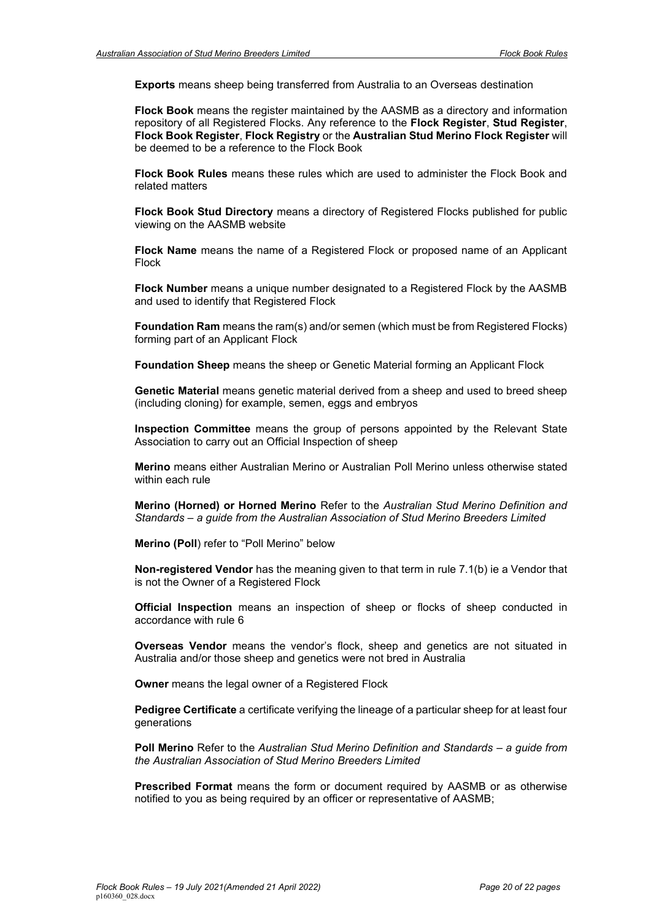**Exports** means sheep being transferred from Australia to an Overseas destination

**Flock Book** means the register maintained by the AASMB as a directory and information repository of all Registered Flocks. Any reference to the **Flock Register**, **Stud Register**, **Flock Book Register**, **Flock Registry** or the **Australian Stud Merino Flock Register** will be deemed to be a reference to the Flock Book

**Flock Book Rules** means these rules which are used to administer the Flock Book and related matters

**Flock Book Stud Directory** means a directory of Registered Flocks published for public viewing on the AASMB website

**Flock Name** means the name of a Registered Flock or proposed name of an Applicant Flock

**Flock Number** means a unique number designated to a Registered Flock by the AASMB and used to identify that Registered Flock

**Foundation Ram** means the ram(s) and/or semen (which must be from Registered Flocks) forming part of an Applicant Flock

**Foundation Sheep** means the sheep or Genetic Material forming an Applicant Flock

**Genetic Material** means genetic material derived from a sheep and used to breed sheep (including cloning) for example, semen, eggs and embryos

**Inspection Committee** means the group of persons appointed by the Relevant State Association to carry out an Official Inspection of sheep

**Merino** means either Australian Merino or Australian Poll Merino unless otherwise stated within each rule

**Merino (Horned) or Horned Merino** Refer to the *Australian Stud Merino Definition and Standards – a guide from the Australian Association of Stud Merino Breeders Limited*

**Merino (Poll**) refer to "Poll Merino" below

**Non-registered Vendor** has the meaning given to that term in rule 7.1(b) ie a Vendor that is not the Owner of a Registered Flock

**Official Inspection** means an inspection of sheep or flocks of sheep conducted in accordance with rule 6

**Overseas Vendor** means the vendor's flock, sheep and genetics are not situated in Australia and/or those sheep and genetics were not bred in Australia

**Owner** means the legal owner of a Registered Flock

**Pedigree Certificate** a certificate verifying the lineage of a particular sheep for at least four generations

**Poll Merino** Refer to the *Australian Stud Merino Definition and Standards – a guide from the Australian Association of Stud Merino Breeders Limited*

**Prescribed Format** means the form or document required by AASMB or as otherwise notified to you as being required by an officer or representative of AASMB;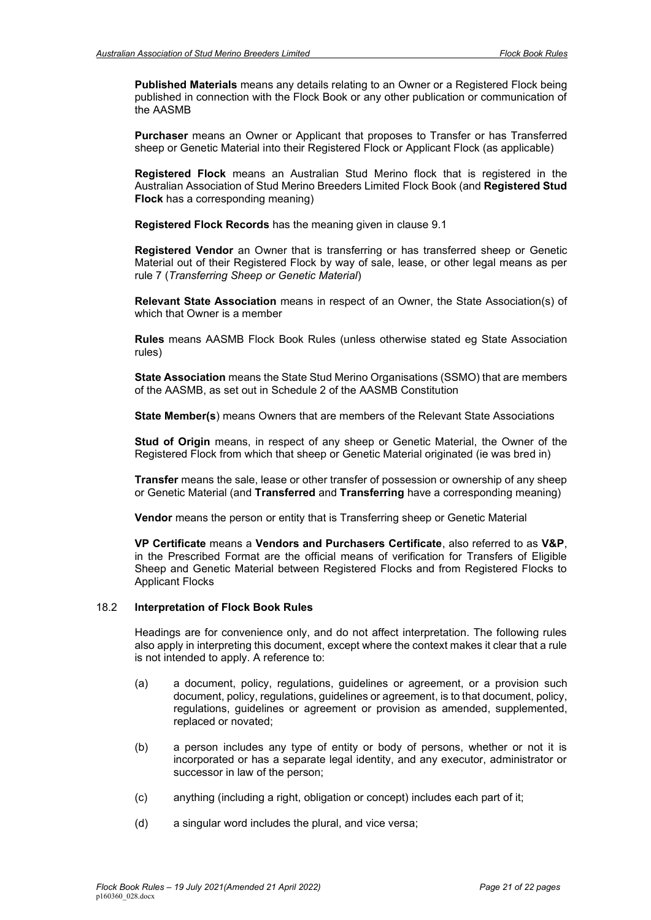**Published Materials** means any details relating to an Owner or a Registered Flock being published in connection with the Flock Book or any other publication or communication of the AASMB

**Purchaser** means an Owner or Applicant that proposes to Transfer or has Transferred sheep or Genetic Material into their Registered Flock or Applicant Flock (as applicable)

**Registered Flock** means an Australian Stud Merino flock that is registered in the Australian Association of Stud Merino Breeders Limited Flock Book (and **Registered Stud Flock** has a corresponding meaning)

**Registered Flock Records** has the meaning given in clause 9.1

**Registered Vendor** an Owner that is transferring or has transferred sheep or Genetic Material out of their Registered Flock by way of sale, lease, or other legal means as per rule 7 (*Transferring Sheep or Genetic Material*)

**Relevant State Association** means in respect of an Owner, the State Association(s) of which that Owner is a member

**Rules** means AASMB Flock Book Rules (unless otherwise stated eg State Association rules)

**State Association** means the State Stud Merino Organisations (SSMO) that are members of the AASMB, as set out in Schedule 2 of the AASMB Constitution

**State Member(s**) means Owners that are members of the Relevant State Associations

**Stud of Origin** means, in respect of any sheep or Genetic Material, the Owner of the Registered Flock from which that sheep or Genetic Material originated (ie was bred in)

**Transfer** means the sale, lease or other transfer of possession or ownership of any sheep or Genetic Material (and **Transferred** and **Transferring** have a corresponding meaning)

**Vendor** means the person or entity that is Transferring sheep or Genetic Material

**VP Certificate** means a **Vendors and Purchasers Certificate**, also referred to as **V&P**, in the Prescribed Format are the official means of verification for Transfers of Eligible Sheep and Genetic Material between Registered Flocks and from Registered Flocks to Applicant Flocks

#### <span id="page-20-0"></span>18.2 **Interpretation of Flock Book Rules**

Headings are for convenience only, and do not affect interpretation. The following rules also apply in interpreting this document, except where the context makes it clear that a rule is not intended to apply. A reference to:

- (a) a document, policy, regulations, guidelines or agreement, or a provision such document, policy, regulations, guidelines or agreement, is to that document, policy, regulations, guidelines or agreement or provision as amended, supplemented, replaced or novated;
- (b) a person includes any type of entity or body of persons, whether or not it is incorporated or has a separate legal identity, and any executor, administrator or successor in law of the person;
- (c) anything (including a right, obligation or concept) includes each part of it;
- (d) a singular word includes the plural, and vice versa;